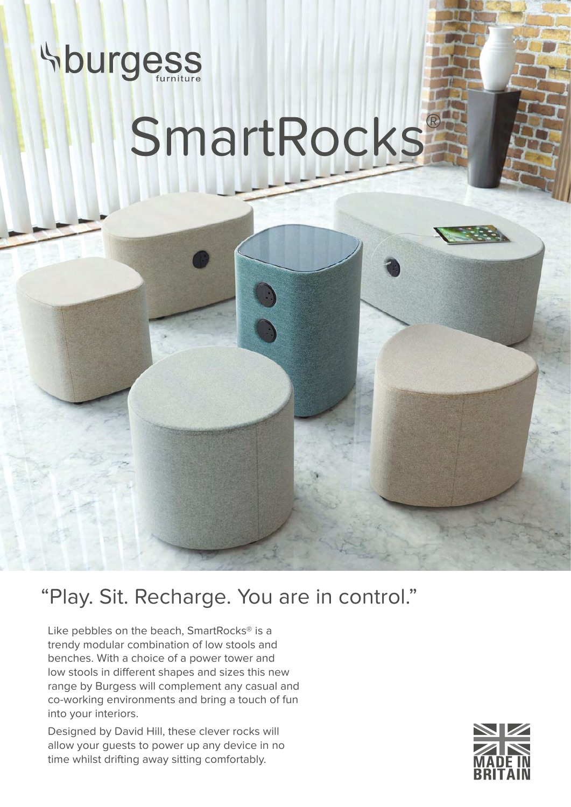

## SmartRocks®

"Play. Sit. Recharge. You are in control."

Like pebbles on the beach, SmartRocks® is a trendy modular combination of low stools and benches. With a choice of a power tower and low stools in different shapes and sizes this new range by Burgess will complement any casual and co-working environments and bring a touch of fun into your interiors.

Designed by David Hill, these clever rocks will allow your guests to power up any device in no time whilst drifting away sitting comfortably.